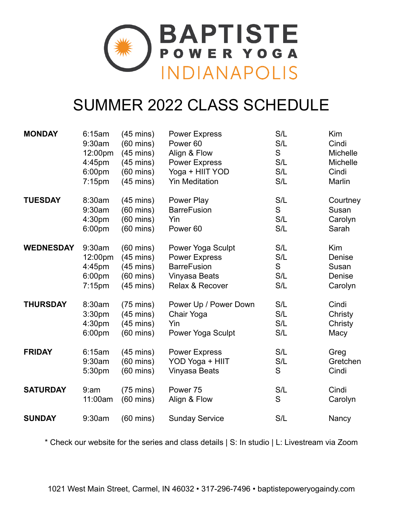

# SUMMER 2022 CLASS SCHEDULE

| <b>MONDAY</b>    | 6:15am    | $(45 \text{ mins})$ | <b>Power Express</b>  | S/L | Kim      |
|------------------|-----------|---------------------|-----------------------|-----|----------|
|                  | 9:30am    | $(60 \text{ mins})$ | Power <sub>60</sub>   | S/L | Cindi    |
|                  | 12:00pm   | $(45 \text{ mins})$ | Align & Flow          | S   | Michelle |
|                  | 4:45pm    | $(45 \text{ mins})$ | <b>Power Express</b>  | S/L | Michelle |
|                  | 6:00pm    | $(60 \text{ mins})$ | Yoga + HIIT YOD       | S/L | Cindi    |
|                  | $7:15$ pm | $(45 \text{ mins})$ | <b>Yin Meditation</b> | S/L | Marlin   |
| <b>TUESDAY</b>   | 8:30am    | $(45 \text{ mins})$ | Power Play            | S/L | Courtney |
|                  | 9:30am    | $(60 \text{ mins})$ | <b>BarreFusion</b>    | S   | Susan    |
|                  | 4:30pm    | $(60 \text{ mins})$ | Yin                   | S/L | Carolyn  |
|                  | 6:00pm    | $(60 \text{ mins})$ | Power <sub>60</sub>   | S/L | Sarah    |
| <b>WEDNESDAY</b> | 9:30am    | $(60 \text{ mins})$ | Power Yoga Sculpt     | S/L | Kim      |
|                  | 12:00pm   | $(45 \text{ mins})$ | <b>Power Express</b>  | S/L | Denise   |
|                  | 4:45pm    | $(45 \text{ mins})$ | <b>BarreFusion</b>    | S   | Susan    |
|                  | 6:00pm    | $(60 \text{ mins})$ | Vinyasa Beats         | S/L | Denise   |
|                  | $7:15$ pm | $(45 \text{ mins})$ | Relax & Recover       | S/L | Carolyn  |
| <b>THURSDAY</b>  | 8:30am    | $(75 \text{ mins})$ | Power Up / Power Down | S/L | Cindi    |
|                  | 3:30pm    | $(45 \text{ mins})$ | Chair Yoga            | S/L | Christy  |
|                  | 4:30pm    | $(45 \text{ mins})$ | Yin                   | S/L | Christy  |
|                  | 6:00pm    | $(60 \text{ mins})$ | Power Yoga Sculpt     | S/L | Macy     |
| <b>FRIDAY</b>    | 6:15am    | $(45 \text{ mins})$ | <b>Power Express</b>  | S/L | Greg     |
|                  | 9:30am    | $(60 \text{ mins})$ | YOD Yoga + HIIT       | S/L | Gretchen |
|                  | 5:30pm    | $(60 \text{ mins})$ | Vinyasa Beats         | S   | Cindi    |
| <b>SATURDAY</b>  | 9:am      | $(75 \text{ mins})$ | Power 75              | S/L | Cindi    |
|                  | 11:00am   | $(60 \text{ mins})$ | Align & Flow          | S   | Carolyn  |
| <b>SUNDAY</b>    | 9:30am    | $(60 \text{ mins})$ | <b>Sunday Service</b> | S/L | Nancy    |

\* Check our website for the series and class details | S: In studio | L: Livestream via Zoom